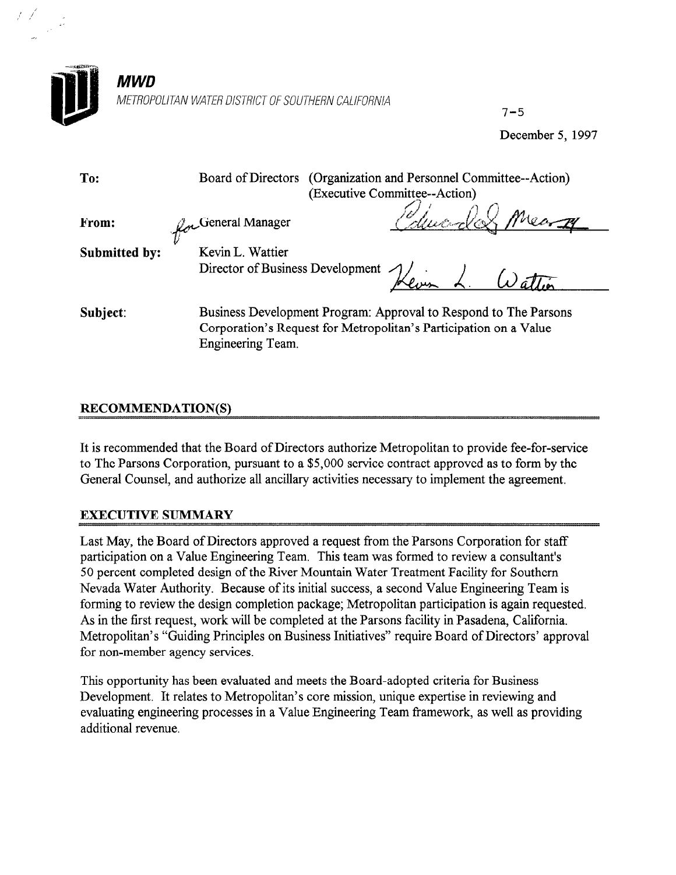

 $7 - 5$ 

December 5, 1997

Board of Directors (Organization and Personnel Committee--Action) (Executive Committee--Action)  $\diagup$   $\jmath$   $\diagup$  $\mathcal{J}$ . General Manager  $\mathcal{J}$   $\mathcal{J}$ 

From:

 $\mathcal{U}^-$ Submitted by: Kevin L. Wattier

Director of Business Development

 $\frac{4}{4}$  $K$ evan L.  $W\tilde{a}$ 

Subject: Business Development Program: Approval to Respond to The Parsons Corporation's Request for Metropolitan's Participation on a Value Engineering Team.

## **RECOMMENDATION(S)**

To:

It is recommended that the Board of Directors authorize Metropolitan to provide fee-for-service to The Parsons Corporation, pursuant to a \$5,000 service contract approved as to form by the General Counsel, and authorize all ancillary activities necessary to implement the agreement.

## EXECUTIVE SUMMARY

Last May, the Board of Directors approved a request from the Parsons Corporation for staff participation on a Value Engineering Team. This team was formed to review a consultant's 50 percent completed design of the River Mountain Water Treatment Facility for Southern Nevada Water Authority. Because of its initial success, a second Value Engineering Team is forming to review the design completion package; Metropolitan participation is again requested. As in the first request, work will be completed at the Parsons facility in Pasadena, California. Metropolitan's "Guiding Principles on Business Initiatives" require Board of Directors' approval for non-member agency services.

This opportunity has been evaluated and meets the Board-adopted criteria for Business Development. It relates to Metropolitan's core mission, unique expertise in reviewing and evaluating engineering processes in a Value Engineering Team framework, as well as providing additional revenue.